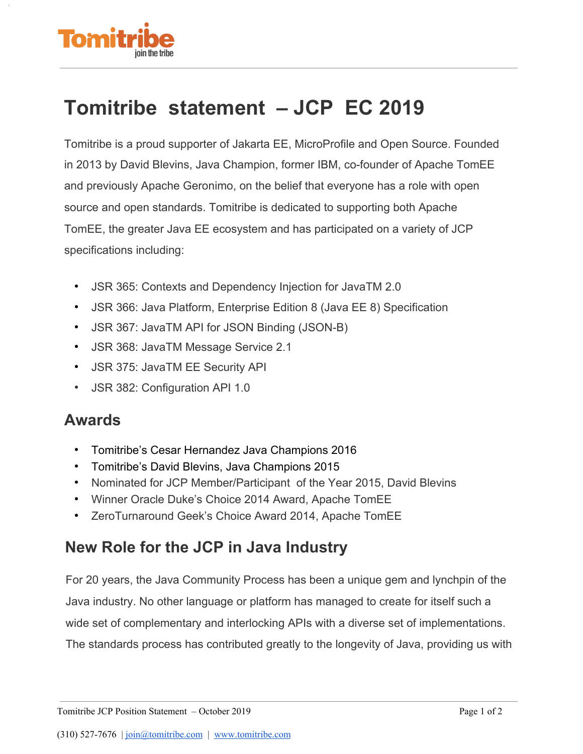

## **Tomitribe statement – JCP EC 2019**

Tomitribe is a proud supporter of Jakarta EE, MicroProfile and Open Source. Founded in 2013 by David Blevins, Java Champion, former IBM, co-founder of Apache TomEE and previously Apache Geronimo, on the belief that everyone has a role with open source and open standards. Tomitribe is dedicated to supporting both Apache TomEE, the greater Java EE ecosystem and has participated on a variety of JCP specifications including:

- JSR 365: Contexts and Dependency Injection for JavaTM 2.0
- JSR 366: Java Platform, Enterprise Edition 8 (Java EE 8) Specification
- JSR 367: JavaTM API for JSON Binding (JSON-B)
- JSR 368: JavaTM Message Service 2.1
- JSR 375: JavaTM EE Security API
- JSR 382: Configuration API 1.0

## **Awards**

- Tomitribe's Cesar Hernandez Java Champions 2016
- Tomitribe's David Blevins, Java Champions 2015
- Nominated for JCP Member/Participant of the Year 2015, David Blevins
- Winner Oracle Duke's Choice 2014 Award, Apache TomEE
- ZeroTurnaround Geek's Choice Award 2014, Apache TomEE

## **New Role for the JCP in Java Industry**

For 20 years, the Java Community Process has been a unique gem and lynchpin of the Java industry. No other language or platform has managed to create for itself such a wide set of complementary and interlocking APIs with a diverse set of implementations. The standards process has contributed greatly to the longevity of Java, providing us with